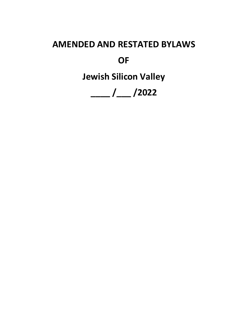# **AMENDED AND RESTATED BYLAWS**

**OF**

**Jewish Silicon Valley**

**\_\_\_\_ /\_\_\_ /2022**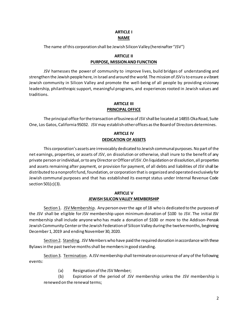# **ARTICLE I NAME**

The name of this corporation shall be Jewish Silicon Valley (hereinafter "JSV")

# **ARTICLE II PURPOSE, MISSION AND FUNCTION**

JSV harnesses the power of community to improve lives, build bridges of understanding and strengthen the Jewish people here, in Israel and around the world. The mission of JSV is to ensure a vibrant Jewish community in Silicon Valley and promote the well-being of all people by providing visionary leadership, philanthropic support, meaningful programs, and experiences rooted in Jewish values and traditions.

#### **ARTICLE III PRINCIPAL OFFICE**

The principal office for the transaction of business of JSV shall be located at 14855 Oka Road, Suite One, Los Gatos, California 95032. JSV may establish other offices as the Board of Directors determines.

# **ARTICLE IV DEDICATION OF ASSETS**

This corporation's assets are irrevocably dedicated to Jewish communal purposes. No part of the net earnings, properties, or assets of JSV, on dissolution or otherwise, shall inure to the benefit of any private person or individual, or to any Director or Officer of JSV. On liquidation or dissolution, all properties and assets remaining after payment, or provision for payment, of all debts and liabilities of JSV shall be distributed to a nonprofit fund, foundation, or corporation that is organized and operated exclusively for Jewish communal purposes and that has established its exempt status under Internal Revenue Code section 501(c)(3).

# **ARTICLE V JEWISH SILICON VALLEY MEMBERSHIP**

Section 1. JSV Membership. Any person over the age of 18 who is dedicated to the purposes of the JSV shall be eligible for JSV membership upon minimum donation of \$100 to JSV. The initial JSV membership shall include anyone who has made a donation of \$100 or more to the Addison-Penzak Jewish Community Center or the Jewish Federation of Silicon Valley during the twelve months, beginning December 1, 2019 and ending November 30, 2020.

Section 2. Standing. JSV Members who have paid the required donation in accordance with these Bylaws in the past twelve months shall be members in good standing.

Section 3. Termination. A JSV membership shall terminate on occurrence of any of the following events:

(a) Resignation of the JSV Member;

(b) Expiration of the period of JSV membership unless the JSV membership is renewed on the renewal terms;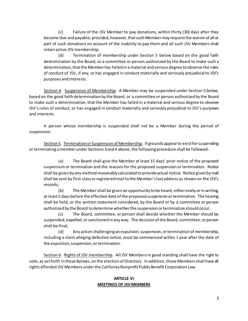(c) Failure of the JSV Member to pay donations, within thirty (30) days after they become due and payable; provided, however, that such Member may request the waiver of all or part of such donations on account of the inability to pay them and all such JSV Members shall retain active JSV membership;

(d) Termination of membership under Section 5 below based on the good faith determination by the Board, or a committee or person authorized by the Board to make such a determination, that the Member has failed in a material and serious degree to observe the rules of conduct of JSV, if any, or has engaged in conduct materially and seriously prejudicial to JSV's purposes and interests.

Section 4. Suspension of Membership. A Member may be suspended under Section 5 below, based on the good faith determination by the Board, or a committee or person authorized by the Board to make such a determination, that the Member has failed in a material and serious degree to observe JSV's rules of conduct, or has engaged in conduct materially and seriously prejudicial to JSV's purposes and interests.

A person whose membership is suspended shall not be a Member during the period of suspension.

Section 5. Termination or Suspension of Membership. If grounds appear to exist for suspending or terminating a member under Sections 3 and 4 above, the following procedure shall be followed:

(a) The Board shall give the Member at least 15 days' prior notice of the proposed suspension or termination and the reasons for the proposed suspension or termination. Notice shall be given by any method reasonably calculated to provide actual notice. Notice given by mail shall be sent by first-class or registered mail to the Member's last address as shown on the JSV's records;

(b) The Member shall be given an opportunity to be heard, either orally or in writing, at least 5 days before the effective date of the proposed suspension or termination. The hearing shall be held, or the written statement considered, by the Board or by a committee or person authorized by the Board to determine whether the suspension or termination should occur;

(c) The Board, committee, or person shall decide whether the Member should be suspended, expelled, or sanctioned in any way. The decision of the Board, committee, or person shall be final;

(d) Any action challenging an expulsion, suspension, or termination of membership, including a claim alleging defective notice, must be commenced within 1 year after the date of the expulsion, suspension, or termination.

Section 6. Rights of JSV membership. All JSV Members in good standing shall have the right to vote, as set forth in these Bylaws, on the election of Directors. In addition, those Members shall have all rights afforded JSV Members under the California Nonprofit Public Benefit Corporation Law.

#### **ARTICLE VI MEETINGS OF JSV MEMBERS**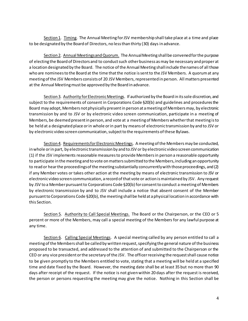Section 1. Timing. The Annual Meeting for JSV membership shall take place at a time and place to be designated by the Board of Directors, no less than thirty (30) days in advance.

Section 2. Annual Meetings and Quorum. The Annual Meeting shall be convened for the purpose of electing the Board of Directors and to conduct such other business as may be necessary and proper at a location designated by the Board. The notice of the Annual Meeting shall include the names of all those who are nominees to the Board at the time that the notice is sent to the JSV Members. A quorum at any meeting of the JSV Members consists of 20 JSV Members, represented in person. All matters presented at the Annual Meeting must be approved by the Board in advance.

Section 3. Authority for Electronic Meetings. If authorized by the Board in its sole discretion, and subject to the requirements of consent in Corporations Code §20(b) and guidelines and procedures the Board may adopt, Members not physically present in person at a meeting of Members may, by electronic transmission by and to JSV or by electronic video screen communication, participate in a meeting of Members, be deemed present in person, and vote at a meeting of Members whether that meeting is to be held at a designated place or in whole or in part by means of electronic transmission by and to JSV or by electronic video screen communication, subject to the requirements of these Bylaws.

Section 4. Requirements for Electronic Meetings. A meeting of the Members may be conducted, in whole or in part, by electronic transmission by and to JSV or by electronic video screen communication (1) if the JSV implements reasonable measures to provide Members in person a reasonable opportunity to participate in the meeting and to vote on matters submitted to the Members, including an opportunity to read or hear the proceedings of the meeting substantially concurrently with those proceedings, and (2) if any Member votes or takes other action at the meeting by means of electronic transmission to JSV or electronic video screen communication, a record of that vote or action is maintained by JSV. Any request by JSV to a Member pursuant to Corporations Code §20(b) for consent to conduct a meeting of Members by electronic transmission by and to JSV shall include a notice that absent consent of the Member pursuant to Corporations Code §20(b), the meeting shall be held at a physical location in accordance with this Section.

Section 5. Authority to Call Special Meetings. The Board or the Chairperson, or the CEO or 5 percent or more of the Members, may call a special meeting of the Members for any lawful purpose at any time.

Section 6. Calling Special Meetings. A special meeting called by any person entitled to call a meeting of the Members shall be called by written request, specifying the general nature of the business proposed to be transacted, and addressed to the attention of and submitted to the Chairperson or the CEO or any vice president or the secretary of the JSV. The officer receiving the request shall cause notice to be given promptly to the Members entitled to vote, stating that a meeting will be held at a specified time and date fixed by the Board. However, the meeting date shall be at least 35 but no more than 90 days after receipt of the request. If the notice is not given within 20 days after the request is received, the person or persons requesting the meeting may give the notice. Nothing in this Section shall be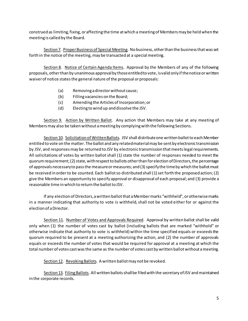construed as limiting, fixing, or affecting the time at which a meeting of Members may be held when the meeting is called by the Board.

Section 7. Proper Business of Special Meeting. No business, other than the business that was set forth in the notice of the meeting, may be transacted at a special meeting.

Section 8. Notice of Certain Agenda Items. Approval by the Members of any of the following proposals, other than by unanimous approval by those entitled to vote, is valid only if the notice or written waiver of notice states the general nature of the proposal or proposals:

- (a) Removing a director without cause;
- (b) Filling vacancies on the Board;
- (c) Amending the Articles of Incorporation; or
- (d) Electing to wind up and dissolve the JSV.

Section 9. Action by Written Ballot. Any action that Members may take at any meeting of Members may also be taken without ameeting by complying with the following Sections.

Section 10. Solicitation of Written Ballots. JSV shall distribute one written ballot to each Member entitled to vote on the matter. The ballot and any related material may be sent by electronic transmission by JSV, and responses may be returned to JSV by electronic transmission that meets legal requirements. All solicitations of votes by written ballot shall (1) state the number of responses needed to meet the quorum requirement; (2) state, with respect to ballots other than for election of Directors, the percentage of approvals necessary to pass the measure or measures; and (3) specify the time by which the ballot must be received in order to be counted. Each ballot so distributed shall (1) set forth the proposed action; (2) give the Members an opportunity to specify approval or disapproval of each proposal; and (3) provide a reasonable time in which to return the ballot to JSV.

If any election of Directors, a written ballot that a Member marks "withheld", or otherwise marks in a manner indicating that authority to vote is withheld, shall not be voted either for or against the election of a Director.

Section 11. Number of Votes and Approvals Required. Approval by written ballot shall be valid only when (1) the number of votes cast by ballot (including ballots that are marked "withhold" or otherwise indicate that authority to vote is withheld) within the time specified equals or exceeds the quorum required to be present at a meeting authorizing the action, and (2) the number of approvals equals or exceeds the number of votes that would be required for approval at a meeting at which the total number of votes cast was the same as the number of votes cast by written ballot without a meeting.

Section 12. Revoking Ballots. A written ballot may not be revoked.

Section 13. Filing Ballots. All written ballots shall be filed with the secretary of JSV and maintained in the corporate records.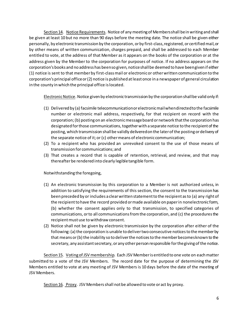Section 14. Notice Requirements. Notice of any meeting of Members shall be in writing and shall be given at least 10 but no more than 90 days before the meeting date. The notice shall be given either personally, by electronic transmission by the corporation, or by first-class, registered, or certified mail, or by other means of written communication, charges prepaid, and shall be addressed to each Member entitled to vote, at the address of that Member as it appears on the books of the corporation or at the address given by the Member to the corporation for purposes of notice. If no address appears on the corporation's books and no address has been so given, notice shall be deemed to have been given if either (1) notice is sent to that member by first-class mail or electronic or other written communication to the corporation's principal office or (2) notice is published at least once in a newspaper of general circulation in the county in which the principal office is located.

Electronic Notice. Notice given by electronic transmission by the corporation shall be valid only if:

- (1) Delivered by (a) facsimile telecommunication or electronic mail when directed to the facsimile number or electronic mail address, respectively, for that recipient on record with the corporation; (b) posting on an electronic message board or network that the corporation has designated for those communications, together with a separate notice to the recipient of the posting, which transmission shall be validly delivered on the later of the posting or delivery of the separate notice of it; or (c) other means of electronic communication;
- (2) To a recipient who has provided an unrevoked consent to the use of those means of transmission for communications; and
- (3) That creates a record that is capable of retention, retrieval, and review, and that may thereafter be rendered into clearly legible tangible form.

Notwithstanding the foregoing,

- (1) An electronic transmission by this corporation to a Member is not authorized unless, in addition to satisfying the requirements of this section, the consent to the transmission has been preceded by or includes a clear written statement to the recipient as to (a) any right of the recipient to have the record provided or made available on paper in nonelectronic form, (b) whether the consent applies only to that transmission, to specified categories of communications, or to all communications from the corporation, and (c) the procedures the recipient must use to withdraw consent.
- (2) Notice shall not be given by electronic transmission by the corporation after either of the following: (a) the corporation is unable to deliver two consecutive notices to the member by that means or (b) the inability so to deliver the notices to the member becomes known to the secretary, any assistant secretary, or any other person responsible for the giving of the notice.

Section 15. Voting of JSV membership. Each JSV Member is entitled to one vote on each matter submitted to a vote of the JSV Members. The record date for the purpose of determining the JSV Members entitled to vote at any meeting of JSV Members is 10 days before the date of the meeting of JSV Members.

Section 16. Proxy. JSV Members shall not be allowed to vote or act by proxy.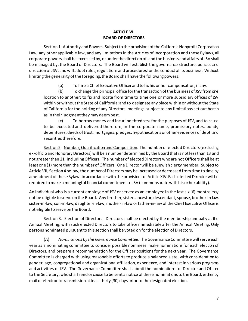#### **ARTICLE VII BOARD OF DIRECTORS**

Section 1. Authority and Powers. Subject to the provisions of the California Nonprofit Corporation Law, any other applicable law, and any limitations in the Articles of Incorporation and these Bylaws, all corporate powers shall be exercised by, or under the direction of, and the business and affairs of JSV shall be managed by, the Board of Directors. The Board will establish the governance structure, policies and direction of JSV, and will adopt rules, regulations and procedures for the conduct of its business. Without limiting the generality of the foregoing, the Board shall have the following powers:

(a) To hire a Chief Executive Officer and to fix his or her compensation, if any.

(b) To change the principal office for the transaction of the business of JSV from one location to another; to fix and locate from time to time one or more subsidiary offices of JSV within or without the State of California; and to designate any place within or without the State of California for the holding of any Directors' meetings, subject to any limitations set out herein as in their judgment they may deem best.

(c) To borrow money and incur indebtedness for the purposes of JSV, and to cause to be executed and delivered therefore, in the corporate name, promissory notes, bonds, debentures, deeds of trust, mortgages, pledges, hypothecations or other evidences of debt, and securities therefore.

Section 2. Number, Qualification and Composition. The number of elected Directors (excluding ex-officio and Honorary Directors) will be a number determined by the Board that is not less than 13 and not greater than 21, including Officers. The number of elected Directors who are not Officers shall be at least one (1) more than the number of Officers. One Director will be a Jewish clergy member. Subject to Article VII, Section 4 below, the number of Directors may be increased or decreased from time to time by amendment of these Bylaws in accordance with the provisions of Article XIV. Each elected Director will be required to make a meaningful financial commitment to JSV (commensurate with his or her ability).

An individual who is a current employee of JSV or served as an employee in the last six (6) months may not be eligible to serve on the Board. Any brother, sister, ancestor, descendant, spouse, brother-in-law, sister-in-law, son-in-law, daughter-in-law, mother-in-law or father-in-law of the Chief Executive Officer is not eligible to serve on the Board.

Section 3. Election of Directors. Directors shall be elected by the membership annually at the Annual Meeting, with such elected Directors to take office immediately after the Annual Meeting. Only persons nominated pursuant to this section shall be voted on for the election of Directors.

(A) *Nominations by the GovernanceCommittee*. The Governance Committee will serve each year as a nominating committee to consider possible nominees, make nominations for each election of Directors, and prepare a recommendation for the Officer positions for the next year. The Governance Committee is charged with using reasonable efforts to produce a balanced slate, with consideration to gender, age, congregational and organizational affiliation, experience, and interest in various programs and activities of JSV. The Governance Committee shall submit the nominations for Director and Officer to the Secretary, who shall send or cause to be sent a notice of these nominations to the Board, either by mail or electronic transmission at least thirty (30) days prior to the designated election.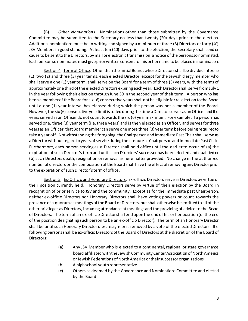(B) *Other Nominations*. Nominations other than those submitted by the Governance Committee may be submitted to the Secretary no less than twenty (20) days prior to the election. Additional nominations must be in writing and signed by a minimum of three (3) Directors or forty (40) JSV Members in good standing. At least ten (10) days prior to the election, the Secretary shall send or cause to be sent to the Directors, by mail or electronic transmission, a notice of the persons so nominated. Each person so nominated must give prior written consent for his or her name to be placed in nomination.

Section 4. Term of Office. Other than the initial Board, whose Directors shall be divided into one (1), two (2) and three (3) year terms, each elected Director, except for the Jewish clergy member who shall serve a one (1) year term, shall serve on the Board for a term of three (3) years, with the terms of approximately one third of the elected Directors expiring each year. Each Director shall serve from July 1 in the year following their election through June 30 in the second year of their term. A person who has been a member of the Board for six (6) consecutive years shall not be eligible for re-election to the Board until a one (1) year interval has elapsed during which the person was not a member of the Board. However, the six (6) consecutive year limit is tolled during the time a Director serves as an Officer and the years served as an Officer do not count towards the six (6) year maximum. For example, if a person has served one, three (3) year term (i.e. three years) and is then elected as an Officer, and serves for three years as an Officer, that Board member can serve one more three (3) year term before being required to take a year off. Notwithstanding the foregoing, the Chairperson and Immediate Past Chair shall serve as a Director without regard to years of service during their tenure as Chairperson and Immediate Past Chair. Furthermore, each person serving as a Director shall hold office until the earlier to occur of (a) the expiration of such Director's term and until such Directors' successor has been elected and qualified or (b) such Directors death, resignation or removal as hereinafter provided. No change in the authorized number of directors or the composition of the Board shall have the effect of removing any Director prior to the expiration of such Director's term of office.

Section 5. Ex-Officio and Honorary Directors. Ex-officio Directors serve as Directors by virtue of their position currently held. Honorary Directors serve by virtue of their election by the Board in recognition of prior service to JSV and the community. Except as for the Immediate past Chairperson, neither ex-officio Directors nor Honorary Directors shall have voting powers or count towards the presence of a quorum at meetings of the Board of Directors, but shall otherwise be entitled to all of the other privileges as Directors, including attendance at meetings and the providing of advice to the Board of Directors. The term of an ex-officio Director shall end upon the end of his or her position (or the end of the position designating such person to be an ex-officio Director). The term of an Honorary Director shall be until such Honorary Director dies, resigns or is removed by a vote of the elected Directors. The following persons shall be ex-officio Directors of the Board of Directors at the discretion of the Board of Directors:

- (a) Any JSV Member who is elected to a continental, regional or state governance board affiliated with the Jewish Community Center Association of North America or Jewish Federations of North America or their successor organizations
- (b) A high school youth representative
- (c) Others as deemed by the Governance and Nominations Committee and elected by the Board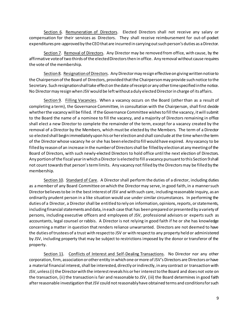Section 6. Remuneration of Directors. Elected Directors shall not receive any salary or compensation for their services as Directors. They shall receive reimbursement for out-of-pocket expenditures pre-approved by the CEO that are incurred in carrying out such person's duties as a Director.

Section 7. Removal of Directors. Any Director may be removed from office, with cause, by the affirmative vote of two thirds of the elected Directors then in office. Any removal without cause requires the vote of the membership.

Section 8. Resignation of Directors. Any Director may resign effective on giving written notice to the Chairperson of the Board of Directors, provided that the Chairperson may provide such notice to the Secretary. Such resignation shall take effect on the date of receipt or any other time specified in the notice. No Director may resign when JSV would be left without a duly elected Director in charge of its affairs.

Section 9. Filling Vacancies. When a vacancy occurs on the Board (other than as a result of completing a term), the Governance Committee, in consultation with the Chairperson, shall first decide whether the vacancy will be filled. If the Governance Committee wishes to fill the vacancy, it will submit to the Board the name of a nominee to fill the vacancy, and a majority of Directors remaining in office shall elect a new Director to complete the remainder of the term, except for a vacancy created by the removal of a Director by the Members, which must be elected by the Members. The term of a Director so elected shall begin immediately upon his or her election and shall conclude at the time when the term of the Director whose vacancy he or she has been elected to fill would have expired. Any vacancy to be filled by reason of an increase in the number of Directors shall be filled by election at any meeting of the Board of Directors, with such newly-elected Directors to hold office until the next election of Directors. Any portion of the fiscal year in which a Director is elected to fill a vacancy pursuant to this Section 9shall not count towards that person's term limits. Any vacancy not filled by the Directors may be filled by the membership.

Section 10. Standard of Care. A Director shall perform the duties of a director, including duties as a member of any Board Committee on which the Director may serve, in good faith, in a manner such Director believes to be in the best interest of JSV and with such care, including reasonable inquiry, as an ordinarily prudent person in a like situation would use under similar circumstances. In performing the duties of a Director, a Director shall be entitled to rely on information, opinions, reports, or statements, including financial statements and data, in each case that has been prepared or presented by a variety of persons, including executive officers and employees of JSV, professional advisors or experts such as accountants, legal counsel or rabbis. A Director is not relying in good faith if he or she has knowledge concerning a matter in question that renders reliance unwarranted. Directors are not deemed to have the duties of trustees of a trust with respect to JSV or with respect to any property held or administered by JSV, including property that may be subject to restrictions imposed by the donor or transferor of the property.

Section 11. Conflicts of Interest and Self-Dealing Transactions. No Director nor any other corporation, firm, association or other entity in which one or more of JSV's Directors are Directors or have a material financial interest, shall be interested, directly or indirectly, in any contract or transaction with JSV, unless (i) the Director with the interest reveals his or her interest to the Board and does not vote on the transaction, (ii) the transaction is fair and reasonable to JSV, (iii) the Board determines in good faith after reasonable investigation that JSV could not reasonably have obtained terms and conditions for such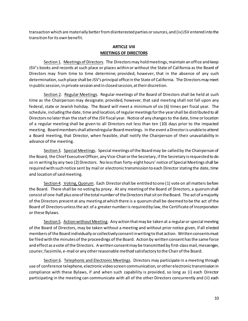transaction which are materially better from disinterested parties or sources, and (iv) JSV entered into the transition for its own benefit.

## **ARTICLE VIII MEETINGS OF DIRECTORS**

Section 1. Meetings of Directors. The Directors may hold meetings, maintain an office and keep JSV's books and records at such place or places within or without the State of California as the Board of Directors may from time to time determine; provided, however, that in the absence of any such determination, such place shall be JSV's principal office in the State of California. The Directors may meet in public session, in private session and in closed session, at their discretion.

Section 2. Regular Meetings. Regular meetings of the Board of Directors shall be held at such time as the Chairperson may designate; provided, however, that said meeting shall not fall upon any federal, state or Jewish holiday. The Board will meet a minimum of six (6) times per fiscal year. The schedule, including the date, time and location, of regular meetings for the year shall be distributed to all Directors no later than the start of the JSV fiscal year. Notice of any changes to the date, time or location of a regular meeting shall be given to all Directors not less than ten (10) days prior to the impacted meeting. Board members shall attend regular Board meetings. In the event a Director is unable to attend a Board meeting, that Director, when feasible, shall notify the Chairperson of their unavailability in advance of the meeting.

Section 3. Special Meetings. Special meetings of the Board may be called by the Chairperson of the Board, the Chief Executive Officer, any Vice-Chair or the Secretary, if the Secretary is requested to do so in writing by any two (2) Directors. No less than forty-eight hours' notice of Special Meetings shall be required with such notice sent by mail or electronic transmission to each Director stating the date, time and location of said meeting.

Section 4. Voting, Quorum. Each Director shall be entitled to one (1) vote on all matters before the Board. There shall be no voting by proxy. At any meeting of the Board of Directors, a quorum shall consist of one-half plus one of the total number of the Directors that sit on the Board. The act of a majority of the Directors present at any meeting at which there is a quorum shall be deemed to be the act of the Board of Directors unless the act of a greater number is required by law, the Certificate of Incorporation or these Bylaws.

Section 5. Action without Meeting. Any action that may be taken at a regular or special meeting of the Board of Directors, may be taken without a meeting and without prior notice given, if all elected members of the Board individually or collectively consent in writing to that action. Written consents must be filed with the minutes of the proceedings of the Board. Action by written consent has the same force and effect as a vote of the Directors. A written consent may be transmitted by first-class mail, messenger, courier, facsimile, e-mail or any other reasonable method satisfactory to the Chair of the Board.

Section 6. Telephonic and Electronic Meetings. Directors may participate in a meeting through use of conference telephone, electronic video screen communication, or other electronic transmission in compliance with these Bylaws, if and when such capability is provided, so long as (i) each Director participating in the meeting can communicate with all of the other Directors concurrently and (ii) each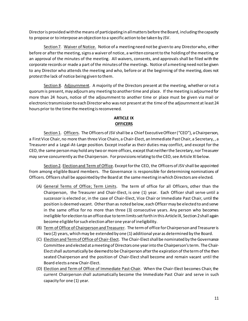Director is provided with the means of participating in all matters before the Board, including the capacity to propose or to interpose an objection to a specific action to be taken by JSV.

Section 7. Waiver of Notice. Notice of a meeting need not be given to any Director who, either before or after the meeting, signs a waiver of notice, a written consent to the holding of the meeting, or an approval of the minutes of the meeting. All waivers, consents, and approvals shall be filed with the corporate records or made a part of the minutes of the meetings. Notice of a meeting need not be given to any Director who attends the meeting and who, before or at the beginning of the meeting, does not protest the lack of notice being given to them.

Section 8. Adjournment. A majority of the Directors present at the meeting, whether or not a quorum is present, may adjourn any meeting to another time and place. If the meeting is adjourned for more than 24 hours, notice of the adjournment to another time or place must be given via mail or electronic transmission to each Director who was not present at the time of the adjournment at least 24 hours prior to the time the meeting is reconvened.

# **ARTICLE IX OFFICERS**

Section 1. Officers. The Officers of JSV shall be a Chief Executive Officer ("CEO"), a Chairperson, a First Vice Chair, no more than three Vice Chairs, a Chair-Elect, an Immediate Past Chair, a Secretary, , a Treasurer and a Legal-At-Large position. Except insofar as their duties may conflict, and except for the CEO,the same person may hold any two or more offices, except that neither the Secretary, nor Treasurer may serve concurrently as the Chairperson. For provisionsrelating to the CEO, see Article XI below.

Section 2. Election and Term of Office. Except for the CEO, the Officers of JSV shall be appointed from among eligible Board members. The Governance is responsible for determining nominations of Officers. Officers shall be appointed by the Board at the same meeting in which Directors are elected.

- (A) General Terms of Office; Term Limits. The term of office for all Officers, other than the Chairperson, the Treasurer and Chair-Elect, is one (1) year. Each Officer shall serve until a successor is elected or, in the case of Chair-Elect, Vice Chair or Immediate Past Chair, until the position is deemed vacant. Other than as noted below, each Officer may be elected to and serve in the same office for no more than three (3) consecutive years. Any person who becomes ineligible for election to an office due to term limits set forth in this Article IX, Section 2 shall again become eligible for such election after one year of ineligibility.
- (B) Term of Office of Chairperson and Treasurer. The term of office for Chairperson and Treasureris two (2) years, which may be extended by one (1) additional year as determined by the Board.
- (C) Election and Term of Office of Chair-Elect. The Chair-Elect shall be nominated by the Governance Committee and elected at a meeting of Directors one year into the Chairperson's term. The Chair-Elect shall automatically be deemed to be Chairperson after the expiration of the term of the then seated Chairperson and the position of Chair-Elect shall become and remain vacant until the Board elects a new Chair-Elect.
- (D) Election and Term of Office of Immediate Past-Chair. When the Chair-Elect becomes Chair, the current Chairperson shall automatically become the Immediate Past Chair and serve in such capacity for one (1) year.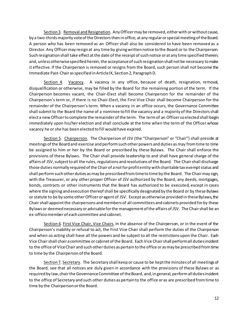Section 3. Removal and Resignation. Any Officer may be removed, either with or without cause, by a two-thirds majority vote of the Directors then in office, at any regular or special meeting of the Board. A person who has been removed as an Officer shall also be considered to have been removed as a Director. Any Officer may resign at any time by giving written notice to the Board or to the Chairperson. Such resignation shall take effect at the date of the receipt of such notice or at any time specified therein; and, unless otherwise specified herein, the acceptance of such resignation shall not be necessary to make it effective. If the Chairperson is removed or resigns from the Board, such person shall not become the Immediate Past-Chair as specified in Article IX, Section 2, Paragraph D.

Section 4. Vacancy. A vacancy in any office, because of death, resignation, removal, disqualification or otherwise, may be filled by the Board for the remaining portion of the term. If the Chairperson becomes vacant, the Chair-Elect shall become Chairperson for the remainder of the Chairperson's term or, if there is no Chair-Elect, the First Vice Chair shall become Chairperson for the remainder of the Chairperson's term. When a vacancy in an office occurs, the Governance Committee shall submit to the Board the name of a nominee to fill the vacancy and a majority of the Directors shall elect a new Officer to complete the remainder of the term. The term of an Officer so elected shall begin immediately upon his/her election and shall conclude at the time when the term of the Officer whose vacancy he or she has been elected to fill would have expired.

Section 5. Chairperson. The Chairperson of JSV (the "Chairperson" or "Chair") shall preside at meetings of the Board and exercise and perform such other powers and duties as may from time to time be assigned to him or her by the Board or prescribed by these Bylaws. The Chair shall enforce the provisions of these Bylaws. The Chair shall provide leadership to and shall have general charge of the affairs of JSV, subject to all the rules, regulations and resolutions of the Board. The Chair shall discharge those duties normally required of the Chair of a not for profit entity with charitable tax exempt status and shall perform such other duties as may be prescribed from time to time by the Board. The Chair may sign, with the Treasurer, or any other proper Officer of JSV authorized by the Board, any deeds, mortgages, bonds, contracts or other instruments that the Board has authorized to be executed, except in cases where the signing and execution thereof shall be specifically designated by the Board or by these Bylaws or statute to be by some other Officer or agent of JSV. Except as otherwise provided in these Bylaws, the Chair shall appoint the chairpersons and members of all committees and cabinets provided for by these Bylaws or deemed necessary or advisable for the management of the affairs of JSV. The Chair shall be an ex-officio member of each committee and cabinet.

Section 6. First Vice Chair, Vice Chairs. In the absence of the Chairperson, or in the event of the Chairperson's inability or refusal to act, the First Vice Chair shall perform the duties of the Chairperson and when so acting shall have all the powers and be subject to all the restrictions upon the Chair. Each Vice Chair shall chair a committee or cabinet of the Board. Each Vice Chair shall perform all duties incident to the office of Vice Chair and such other duties as pertain to the office or as may be prescribed from time to time by the Chairperson of the Board.

Section 7. Secretary. The Secretary shall keep or cause to be kept the minutes of all meetings of the Board, see that all notices are duly given in accordance with the provisions of these Bylaws or as required by law, chair the Governance Committee of the Board, and, in general, perform all duties incident to the office of Secretary and such other duties as pertain to the office or as are prescribed from time to time by the Chairperson or the Board.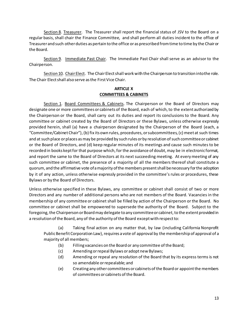Section 8. Treasurer. The Treasurer shall report the financial status of JSV to the Board on a regular basis, shall chair the Finance Committee, and shall perform all duties incident to the office of Treasurerand such other duties as pertain to the office or as prescribed from time to time by the Chair or the Board.

Section 9. Immediate Past Chair. The Immediate Past Chair shall serve as an advisor to the Chairperson.

Section 10. Chair Elect. The Chair Elect shall work with the Chairperson to transition into the role. The Chair Elect shall also serve as the First Vice Chair.

# **ARTICLE X COMMITTEES & CABINETS**

Section 1. Board Committees & Cabinets. The Chairperson or the Board of Directors may designate one or more committees or cabinets of the Board, each of which, to the extent authorized by the Chairperson or the Board, shall carry out its duties and report its conclusions to the Board. Any committee or cabinet created by the Board of Directors or these Bylaws, unless otherwise expressly provided herein, shall (a) have a chairperson designated by the Chairperson of the Board (each, a "Committee/Cabinet Chair"), (b) fix its own rules, procedures, or subcommittees,(c) meet at such times and at such place or places as may be provided by such rules or by resolution of such committee or cabinet or the Board of Directors, and (d) keep regular minutes of its meetings and cause such minutes to be recorded in books kept for that purpose which, for the avoidance of doubt, may be in electronic format, and report the same to the Board of Directors at its next succeeding meeting. At every meeting of any such committee or cabinet, the presence of a majority of all the members thereof shall constitute a quorum, and the affirmative vote of a majority of the members present shall be necessary for the adoption by it of any action, unless otherwise expressly provided in the committee's rules or procedures, these Bylaws or by the Board of Directors.

Unless otherwise specified in these Bylaws, any committee or cabinet shall consist of two or more Directors and any number of additional persons who are not members of the Board. Vacancies in the membership of any committee or cabinet shall be filled by action of the Chairperson or the Board. No committee or cabinet shall be empowered to supersede the authority of the Board. Subject to the foregoing, the Chairperson or Board may delegate to any committee or cabinet, to the extent provided in a resolution of the Board, any of the authority of the Board except with respect to:

(a) Taking final action on any matter that, by law (including California Nonprofit Public Benefit Corporation Law), requires a vote of approval by the membership of approval of a majority of all members;

- (b) Filling vacancies on the Board or any committee of the Board;
- (c) Amending or repeal Bylaws or adopt new Bylaws;
- (d) Amending or repeal any resolution of the Board that by its express terms is not so amendable or repealable; and
- (e) Creating any other committees or cabinets of the Board or appoint the members of committees or cabinets of the Board.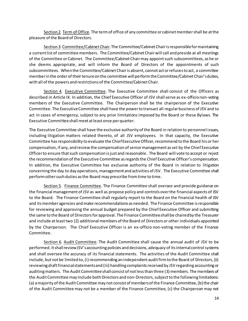Section 2. Term of Office. The term of office of any committee or cabinet member shall be at the pleasure of the Board of Directors.

Section 3. Committee/Cabinet Chair. The Committee/Cabinet Chair is responsible for maintaining a current list of committee members. The Committee/Cabinet Chair will call and preside at all meetings of the Committee or Cabinet. The Committee/Cabinet Chair may appoint such subcommittees, as he or she deems appropriate, and will inform the Board of Directors of the appointments of such subcommittees. When the Committee/Cabinet Chair is absent, cannot act or refuses to act, a committee member in the order of their tenure on the committee will perform the Committee/Cabinet Chair's duties, with all of the powers and restrictions of the Committee/Cabinet Chair.

Section 4. Executive Committee. The Executive Committee shall consist of the Officers as described in Article IX. In addition, the Chief Executive Officer of JSV shall serve as ex-officio non-voting members of the Executive Committee. The Chairperson shall be the chairperson of the Executive Committee. The Executive Committee shall have the power to transact all regular business of JSV and to act in cases of emergency, subject to any prior limitations imposed by the Board or these Bylaws. The Executive Committee shall meet at least once per quarter.

The Executive Committee shall have the exclusive authority of the Board in relation to personnel issues, including litigation matters related thereto, of all JSV employees. In that capacity, the Executive Committee has responsibility to evaluate the Chief Executive Officer, recommend to the Board his or her compensation, if any, and review the compensation of senior management as set by the Chief Executive Officer to ensure that such compensation is just and reasonable. The Board will vote to accept or reject the recommendation of the Executive Committee as regards the Chief Executive Officer's compensation. In addition, the Executive Committee has exclusive authority of the Board in relation to litigation concerning the day to day operations, management and activities of JSV. The Executive Committee shall perform other such duties as the Board may prescribe from time to time.

Section 5. Finance Committee. The Finance Committee shall oversee and provide guidance on the financial management of JSV as well as propose policy and controls over the financial aspects of JSV to the Board. The Finance Committee shall regularly report to the Board on the financial health of JSV and its member agencies and make recommendations as needed. The Finance Committee is responsible for reviewing and approving the annual budget prepared by the Chief Executive Officer and submitting the same to the Board of Directors for approval. The Finance Committee shall be chaired by the Treasurer and include at least two (2) additional members of the Board of Directors or other individuals appointed by the Chairperson. The Chief Executive Officer is an ex-officio non-voting member of the Finance Committee.

Section 6. Audit Committee. The Audit Committee shall cause the annual audit of JSV to be performed. It shall review JSV's accounting policies and decisions, adequacy of its internal control systems and shall oversee the accuracy of its financial statements. The activities of the Audit Committee shall include, but not be limited to, (i) recommending an independent audit firm to the Board of Directors, (ii) reviewing draft financial statements and (iii) handling complaints received by JSV regarding accounting or auditing matters. The Audit Committee shall consist of not less than three (3) members. The members of the Audit Committee may include both Directors and non-Directors, subject to the following limitations: (a) a majority of the Audit Committee may not consist of members of the Finance Committee, (b) the chair of the Audit Committee may not be a member of the Finance Committee, (c) the Chairperson may not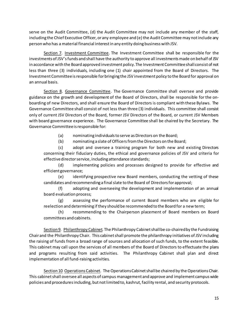serve on the Audit Committee, (d) the Audit Committee may not include any member of the staff, including the Chief Executive Officer, or any employee and (e) the Audit Committee may not include any person who has a material financial interest in any entity doing business with JSV.

Section 7. Investment Committee. The Investment Committee shall be responsible for the investments of JSV'sfunds and shall have the authority to approve all investments made on behalf of JSV in accordance with the Board approved investment policy. The Investment Committee shall consist of not less than three (3) individuals, including one (1) chair appointed from the Board of Directors. The Investment Committee is responsible for bringing the JSV investment policy to the Board for approval on an annual basis.

Section 8. Governance Committee. The Governance Committee shall oversee and provide guidance on the growth and development of the Board of Directors, shall be responsible for the onboarding of new Directors, and shall ensure the Board of Directors is compliant with these Bylaws. The Governance Committee shall consist of not less than three (3) individuals. This committee shall consist only of current JSV Directors of the Board, former JSV Directors of the Board, or current JSV Members with board governance experience. The Governance Committee shall be chaired by the Secretary. The Governance Committee is responsible for:

(a) nominating individuals to serve as Directors on the Board;

(b) nominating a slate of Officers from the Directors on the Board;

(c) adopt and oversee a training program for both new and existing Directors concerning their fiduciary duties, the ethical and governance policies of JSV and criteria for effective director service, including attendance standards;

(d) implementing policies and processes designed to provide for effective and efficient governance;

(e) identifying prospective new Board members, conducting the vetting of these candidates and recommending a final slate to the Board of Directors for approval;

(f) adopting and overseeing the development and implementation of an annual board evaluation process;

(g) assessing the performance of current Board members who are eligible for reelection and determining if they should be recommended to the Board for a new term;

(h) recommending to the Chairperson placement of Board members on Board committees and cabinets.

Section 9. Philanthropy Cabinet. The Philanthropy Cabinet shall be co-chaired by the Fundraising Chair and the Philanthropy Chair. This cabinet shall promote the philanthropy initiatives of JSV including the raising of funds from a broad range of sources and allocation of such funds, to the extent feasible. This cabinet may call upon the services of all members of the Board of Directors to effectuate the plans and programs resulting from said activities. The Philanthropy Cabinet shall plan and direct implementation of all fund-raising activities.

Section 10 Operations Cabinet. The Operations Cabinet shall be chaired by the Operations Chair. This cabinet shall oversee all aspects of campus management and approve and implement campus wide policies and procedures including, but not limited to, kashrut, facility rental, and security protocols.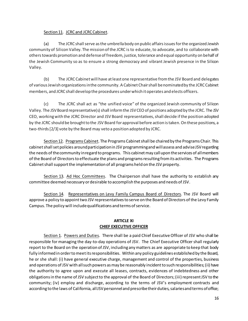# Section 11. JCRC and JCRC Cabinet.

(a) The JCRC shall serve as the umbrella body on public affairs issues for the organized Jewish community of Silicon Valley. The mission of the JCRC is to educate, to advocate, and to collaborate with others towards promotion and defense of freedom, justice, tolerance and equal opportunity on behalf of the Jewish Community so as to ensure a strong democracy and vibrant Jewish presence in the Silicon Valley.

(b) The JCRC Cabinet will have at least one representative from the JSV Board and delegates of various Jewish organizations in the community. A Cabinet Chair shall be nominated by the JCRC Cabinet members, and JCRC shall develop the procedures under which it operates and elects officers.

(c) The JCRC shall act as "the unified voice" of the organized Jewish community of Silicon Valley. The JSVBoard representative(s) shall inform the JSVCEO of positions adopted by the JCRC. The JSV CEO, working with the JCRC Director and JSV Board representatives, shall decide if the position adopted by the JCRC should be brought to the JSV Board for approval before action is taken. On these positions, a two-thirds [2/3] vote by the Board may veto a position adopted by JCRC.

Section 12. Programs Cabinet. The Programs Cabinet shall be chaired by the Programs Chair. This cabinet shall set policies around participation in JSV programming and will assess and advise JSV regarding the needs of the community in regard to programs. This cabinet may call upon the services of all members of the Board of Directors to effectuate the plans and programs resulting from its activities. The Programs Cabinet shall support the implementation of all programs held on the JSV property.

Section 13. Ad Hoc Committees. The Chairperson shall have the authority to establish any committee deemed necessary or desirable to accomplish the purposes and needs of JSV.

Section 14. Representatives on Levy Family Campus Board of Directors. The JSV Board will approve a policy to appoint two JSV representatives to serve on the Board of Directors of the Levy Family Campus. The policy will include qualifications and terms of service.

# **ARTICLE XI CHIEF EXECUTIVE OFFICER**

Section 1. Powers and Duties. There shall be a paid Chief Executive Officer of JSV who shall be responsible for managing the day-to-day operations of JSV. The Chief Executive Officer shall regularly report to the Board on the operation of JSV, including any matters as are appropriate to keep that body fully informed in order to meet its responsibilities. Within any policy guidelines established by the Board, he or she shall: (i) have general executive charge, management and control of the properties, business and operations of JSV with all such powers as may be reasonably incident to such responsibilities; (ii) have the authority to agree upon and execute all leases, contracts, evidences of indebtedness and other obligations in the name of JSV subject to the approval of the Board of Directors; (iii) represent JSV to the community; (iv) employ and discharge, according to the terms of JSV's employment contracts and according to the laws of California, all JSV personnel and prescribe their duties, salaries and terms of office;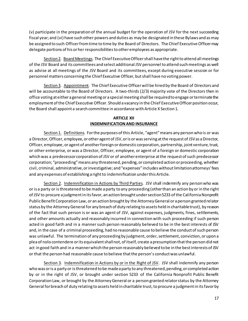(v) participate in the preparation of the annual budget for the operation of JSV for the next succeeding fiscal year; and (vi) have such other powers and duties as may be designated in these Bylaws and as may be assigned to such Officer from time to time by the Board of Directors. The Chief Executive Officer may delegate portions of his or her responsibilities to other employees as appropriate.

Section 2. Board Meetings. The Chief Executive Officer shall have the right to attend all meetings of the JSV Board and its committees and select additional JSV personnel to attend such meetings as well as advise at all meetings of the JSV Board and its committees, except during executive session or for personnel matters concerning the Chief Executive Officer, but shall have no voting power.

Section 3. Appointment. The Chief Executive Officer will be hired by the Board of Directors and will be accountable to the Board of Directors. A two-thirds (2/3) majority vote of the Directors then in office voting at either a general meeting or a special meeting shall be required to engage or terminate the employment of the Chief Executive Officer. Should a vacancy in the Chief Executive Officer position occur, the Board shall appoint a search committee in accordance with Article X Section 1.

## **ARTICLE XII INDEMNIFICATION AND INSURANCE**

Section 1. Definitions. For the purposes of this Article, "agent" means any person who is or was a Director, Officer, employee, or other agent of JSV, or is or was serving at the request of JSV as a Director, Officer, employee, or agent of another foreign or domestic corporation, partnership, joint venture, trust, or other enterprise, or was a Director, Officer, employee, or agent of a foreign or domestic corporation which was a predecessor corporation of JSV or of another enterprise at the request of such predecessor corporation; "proceeding" means any threatened, pending, or completed action or proceeding, whether civil, criminal, administrative, or investigative; and "expenses" includes without limitation attorneys' fees and any expenses of establishing a right to indemnification under this Article.

Section 2. Indemnification in Actions by Third Parties. JSV shall indemnify any person who was or is a party or is threatened to be made a party to any proceeding (other than an action by or in the right of JSV to procure a judgment in its favor, an action brought under section 5233 of the California Nonprofit Public Benefit Corporation Law, or an action brought by the Attorney General or a person granted relator status by the Attorney General for any breach of duty relating to assets held in charitable trust), by reason of the fact that such person is or was an agent of JSV, against expenses, judgments, fines, settlements, and other amounts actually and reasonably incurred in connection with such proceeding if such person acted in good faith and in a manner such person reasonably believed to be in the best interests of JSV and, in the case of a criminal proceeding, had no reasonable cause to believe the conduct of such person was unlawful. The termination of any proceeding by judgment, order, settlement, conviction, or upon a plea of nolo contendere or its equivalent shall not, of itself, create a presumption that the person did not act in good faith and in a manner which the person reasonably believed to be in the best interests of JSV or that the person had reasonable cause to believe that the person's conduct was unlawful.

Section 3. Indemnification in Actions by or in the Right of JSV. JSV shall indemnify any person who was or is a party or is threatened to be made a party to any threatened, pending, or completed action by or in the right of JSV, or brought under section 5233 of the California Nonprofit Public Benefit Corporation Law, or brought by the Attorney General or a person granted relator status by the Attorney General for breach of duty relating to assets held in charitable trust, to procure a judgment in its favor by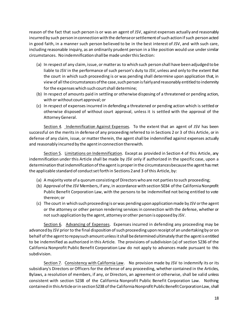reason of the fact that such person is or was an agent of JSV, against expenses actually and reasonably incurred by such person in connection with the defense or settlement of such action if such person acted in good faith, in a manner such person believed to be in the best interest of JSV, and with such care, including reasonable inquiry, as an ordinarily prudent person in a like position would use under similar circumstances. No indemnification shall be made under this Section:

- (a) In respect of any claim, issue, or matter as to which such person shall have been adjudged to be liable to JSV in the performance of such person's duty to JSV, unless and only to the extent that the court in which such proceeding is or was pending shall determine upon application that, in view of all the circumstances of the case, such person is fairly and reasonably entitled to indemnity for the expenses which such court shall determine;
- (b) In respect of amounts paid in settling or otherwise disposing of a threatened or pending action, with or without court approval; or
- (c) In respect of expenses incurred in defending a threatened or pending action which is settled or otherwise disposed of without court approval, unless it is settled with the approval of the Attorney General.

Section 4. Indemnification Against Expenses. To the extent that an agent of JSV has been successful on the merits in defense of any proceeding referred to in Sections 2 or 3 of this Article, or in defense of any claim, issue, or matter therein, the agent shall be indemnified against expenses actually and reasonably incurred by the agent in connection therewith.

Section 5. Limitations on Indemnification. Except as provided in Section 4 of this Article, any indemnification under this Article shall be made by JSV only if authorized in the specific case, upon a determination that indemnification of the agent is proper in the circumstances because the agent has met the applicable standard of conduct set forth in Sections 2 and 3 of this Article, by:

- (a) A majority vote of a quorum consisting of Directors who are not parties to such proceeding;
- (b) Approval of the JSV Members, if any, in accordance with section 5034 of the California Nonprofit Public Benefit Corporation Law, with the persons to be indemnified not being entitled to vote thereon; or
- (c) The court in which such proceeding is or was pending upon application made by JSV or the agent or the attorney or other person rendering services in connection with the defense, whether or not such application by the agent, attorney or other person is opposed by JSV.

Section 6. Advancing of Expenses. Expenses incurred in defending any proceeding may be advanced by JSV prior to the final disposition of such proceeding upon receipt of an undertaking by or on behalf of the agent to repay such amount unless it shall be determined ultimately that the agent is entitled to be indemnified as authorized in this Article. The provisions of subdivision (a) of section 5236 of the California Nonprofit Public Benefit Corporation Law do not apply to advances made pursuant to this subdivision.

Section 7. Consistency with California Law. No provision made by JSV to indemnify its or its subsidiary's Directors or Officers for the defense of any proceeding, whether contained in the Articles, Bylaws, a resolution of members, if any, or Directors, an agreement or otherwise, shall be valid unless consistent with section 5238 of the California Nonprofit Public Benefit Corporation Law. Nothing contained in this Article or in section 5238 of the California Nonprofit Public Benefit Corporation Law, shall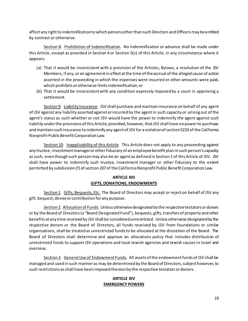affect any right to indemnification to which persons other than such Directors and Officers may be entitled by contract or otherwise.

Section 8. Prohibition of Indemnification. No indemnification or advance shall be made under this Article, except as provided in Section 4 or Section 5(c) of this Article, in any circumstance where it appears:

- (a) That it would be inconsistent with a provision of the Articles, Bylaws, a resolution of the JSV Members, if any, or an agreement in effect at the time of the accrual of the alleged cause of action asserted in the proceeding in which the expenses were incurred or other amounts were paid, which prohibits or otherwise limits indemnification; or
- (b) That it would be inconsistent with any condition expressly imposed by a court in approving a settlement.

Section 9. Liability Insurance. JSV shall purchase and maintain insurance on behalf of any agent of JSV against any liability asserted against or incurred by the agent in such capacity or arising out of the agent's status as such whether or not JSV would have the power to indemnify the agent against such liability under the provisions of this Article; provided, however, that JSV shall have no power to purchase and maintain such insurance to indemnify any agent of JSV for a violation of section 5233 of the California Nonprofit Public Benefit Corporation Law.

Section 10. Inapplicability of this Article. This Article does not apply to any proceeding against any trustee, investment manager or other fiduciary of an employee benefit plan in such person's capacity as such, even though such person may also be an agent as defined in Section 1 of this Article of JSV. JSV shall have power to indemnify such trustee, investment manager or other fiduciary to the extent permitted by subdivision (f) of section 207 of the California Nonprofit Public Benefit Corporation Law.

# **ARTICLE XIII GIFTS, DONATIONS, ENDOWMENTS**

Section 1. Gifts, Bequests, Etc. The Board of Directors may accept or reject on behalf of JSV any gift, bequest, devise or contribution for any purpose.

Section 2. Allocation of Funds. Unless otherwise designated by the respective testators or donors or by the Board of Directors (a "Board Designated Fund"), bequests, gifts, transfers of property and other benefits at any time received by JSV shall be considered unrestricted. Unless otherwise designated by the respective donors or the Board of Directors, all funds received by JSV from foundations or similar organizations, shall be treated as unrestricted funds to be allocated at the discretion of the Board. The Board of Directors shall determine and approve an allocations policy that includes distribution of unrestricted funds to support JSV operations and local Jewish agencies and Jewish causes in Israel and overseas.

Section 3. General Use of Endowment Funds. All assets of the endowment funds of JSV shall be managed and used in such manner as may be determined by the Board of Directors, subject however, to such restrictions as shall have been imposed thereon by the respective testators or donors.

## **ARTICLE XIV EMERGENCY POWERS**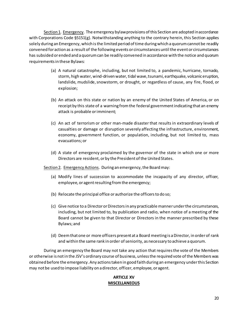Section 1. Emergency. The emergency bylaw provisions of this Section are adopted in accordance with Corporations Code §5151(g). Notwithstanding anything to the contrary herein, this Section applies solely during an Emergency, which is the limited period of time during which a quorum cannot be readily convened for action as a result of the following events or circumstances until the event or circumstances has subsided or ended and a quorum can be readily convened in accordance with the notice and quorum requirements in these Bylaws:

- (a) A natural catastrophe, including, but not limited to, a pandemic, hurricane, tornado, storm, high water, wind-driven water, tidal wave, tsunami, earthquake, volcanic eruption, landslide, mudslide, snowstorm, or drought, or regardless of cause, any fire, flood, or explosion;
- (b) An attack on this state or nation by an enemy of the United States of America, or on receipt by this state of a warning from the federal government indicating that an enemy attack is probable or imminent;
- (c) An act of terrorism or other man-made disaster that results in extraordinary levels of casualties or damage or disruption severely affecting the infrastructure, environment, economy, government function, or population, including, but not limited to, mass evacuations; or
- (d) A state of emergency proclaimed by the governor of the state in which one or more Directors are resident, or by the President of the United States.

Section 2. Emergency Actions. During an emergency, the Board may:

- (a) Modify lines of succession to accommodate the incapacity of any director, officer, employee, or agent resulting from the emergency;
- (b) Relocate the principal office or authorize the officers to do so;
- (c) Give notice to a Director or Directors in any practicable manner under the circumstances, including, but not limited to, by publication and radio, when notice of a meeting of the Board cannot be given to that Director or Directors in the manner prescribed by these Bylaws; and
- (d) Deem that one or more officers present at a Board meeting is a Director, in order of rank and within the same rank in order of seniority, as necessary to achieve a quorum.

During an emergency the Board may not take any action that requires the vote of the Members or otherwise is not in the JSV's ordinary course of business, unless the required vote of the Members was obtained before the emergency. Any actions taken in good faith during an emergency under this Section may not be used to impose liability on a director, officer, employee, or agent.

## **ARTICLE XV MISCELLANEOUS**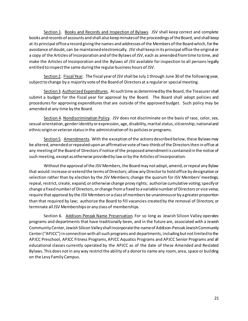Section 1. Books and Records and Inspection of Bylaws. JSV shall keep correct and complete books and records of accounts and shall also keep minutes of the proceedings of the Board, and shall keep at its principal office a record giving the names and addresses of the Members of the Board which, for the avoidance of doubt, can be maintained electronically. JSV shall keep in its principal office the original or a copy of the Articles of Incorporation and of the Bylaws of JSV, each as amended from time to time, and make the Articles of Incorporation and the Bylaws of JSV available for inspection to all persons legally entitled to inspect the same during the regular business hours of JSV.

Section 2. Fiscal Year. The fiscal year of JSV shall be July 1 through June 30 of the following year, subject to change by a majority vote of the Board of Directors at a regular or special meeting.

Section 3. Authorized Expenditures. At such time as determined by the Board, the Treasurer shall submit a budget for the fiscal year for approval by the Board. The Board shall adopt policies and procedures for approving expenditures that are outside of the approved budget. Such policy may be amended at any time by the Board.

Section 4. Nondiscrimination Policy. JSV does not discriminate on the basis of race, color, sex, sexual orientation, gender identity or expression, age, disability, marital status, citizenship, national and ethnic origin or veteran status in the administration of its policies or programs.

Section 5. Amendments. With the exception of the actions described below, these Bylaws may be altered, amended or repealed upon an affirmative vote of two-thirds of the Directors then in office at any meeting of the Board of Directors if notice of the proposed amendment is contained in the notice of such meeting, except as otherwise provided by law or by the Articles of Incorporation.

Without the approval of the JSV Members, the Board may not adopt, amend, or repeal any Bylaw that would: increase or extend the terms of Directors; allow any Directorto hold office by designation or selection rather than by election by the JSV Members; change the quorum for JSV Members' meetings; repeal, restrict, create, expand, or otherwise change proxy rights; authorize cumulative voting; specify or change a fixed number of Directors, or change from a fixed to a variable number of Directors or vice versa; require that approval by the JSV Members or a class of members be unanimous or by a greater proportion than that required by law; authorize the Board to fill vacancies created by the removal of Directors; or terminate all JSV Memberships or any class of memberships.

Section 6. Addison-Penzak Name Preservation. For so long as Jewish Silicon Valley operates programs and departments that have traditionally been, and in the future are, associated with a Jewish Community Center, Jewish Silicon Valley shall incorporate the name of Addison-Penzak Jewish Community Center ("APJCC") in connection with all such programs and departments, including but not limited to the APJCC Preschool, APJCC Fitness Programs, APJCC Aquatics Programs and APJCC Senior Programs and all educational classes currently operated by the APJCC as of the date of these Amended and Restated Bylaws. This does not in any way restrict the ability of a donor to name any room, area, space or building on the Levy Family Campus.